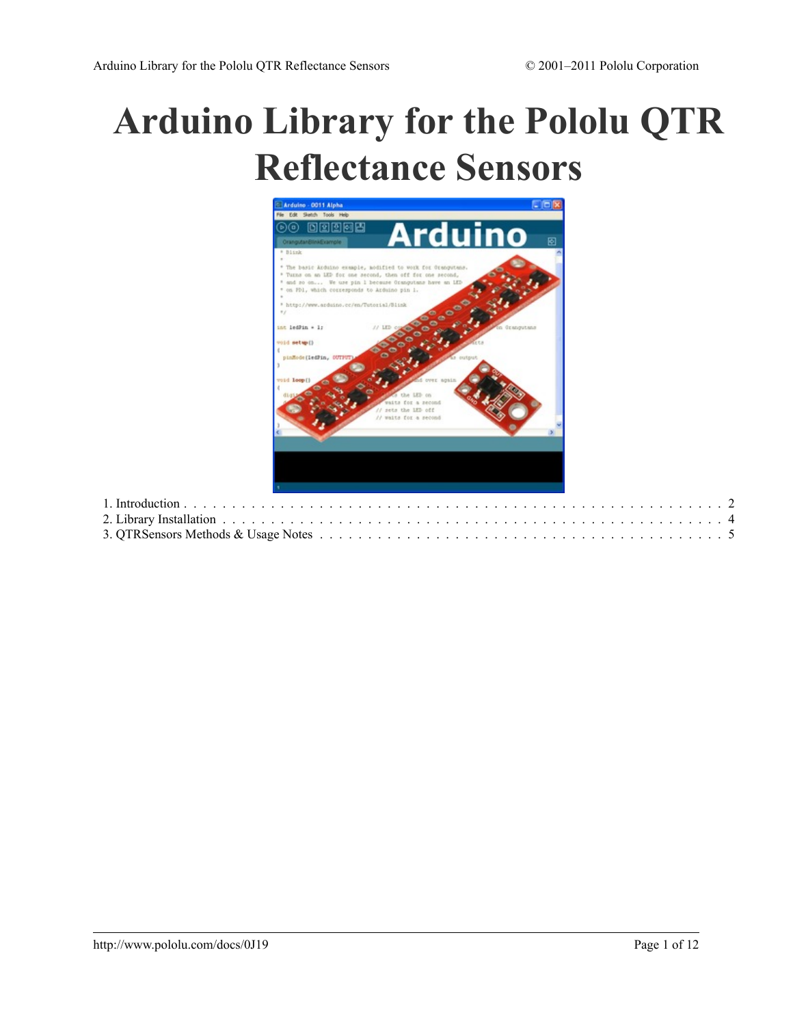# **[Arduino Library for the Pololu QTR](http://www.pololu.com/docs/0J19) [Reflectance Sensors](http://www.pololu.com/docs/0J19)**

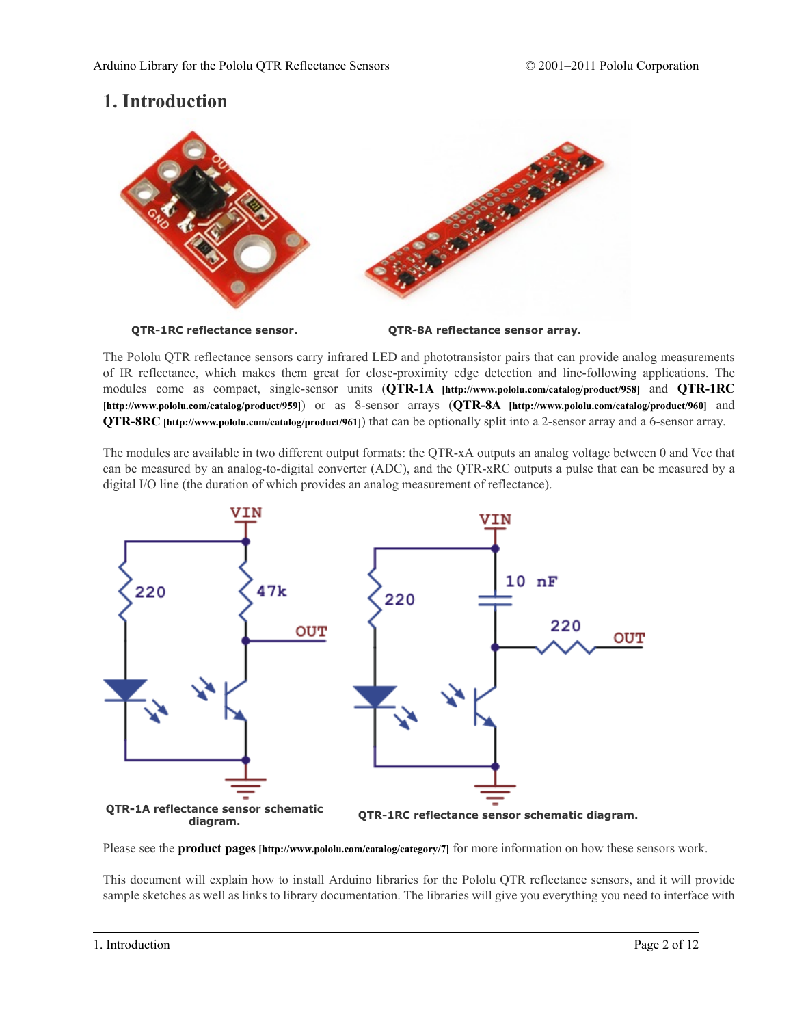# <span id="page-1-0"></span>**1. Introduction**



The Pololu QTR reflectance sensors carry infrared LED and phototransistor pairs that can provide analog measurements of IR reflectance, which makes them great for close-proximity edge detection and line-following applications. The modules come as compact, single-sensor units (**QTR-1A [\[http://www.pololu.com/catalog/product/958\]](http://www.pololu.com/catalog/product/958)** and **[QTR-1RC](http://www.pololu.com/catalog/product/959) [\[http://www.pololu.com/catalog/product/959\]](http://www.pololu.com/catalog/product/959)**) or as 8-sensor arrays (**QTR-8A [\[http://www.pololu.com/catalog/product/960\]](http://www.pololu.com/catalog/product/960)** and **QTR-8RC [\[http://www.pololu.com/catalog/product/961\]](http://www.pololu.com/catalog/product/961)**) that can be optionally split into a 2-sensor array and a 6-sensor array.

The modules are available in two different output formats: the QTR-xA outputs an analog voltage between 0 and Vcc that can be measured by an analog-to-digital converter (ADC), and the QTR-xRC outputs a pulse that can be measured by a digital I/O line (the duration of which provides an analog measurement of reflectance).



Please see the **product pages [\[http://www.pololu.com/catalog/category/7\]](http://www.pololu.com/catalog/category/7)** for more information on how these sensors work.

This document will explain how to install Arduino libraries for the Pololu QTR reflectance sensors, and it will provide sample sketches as well as links to library documentation. The libraries will give you everything you need to interface with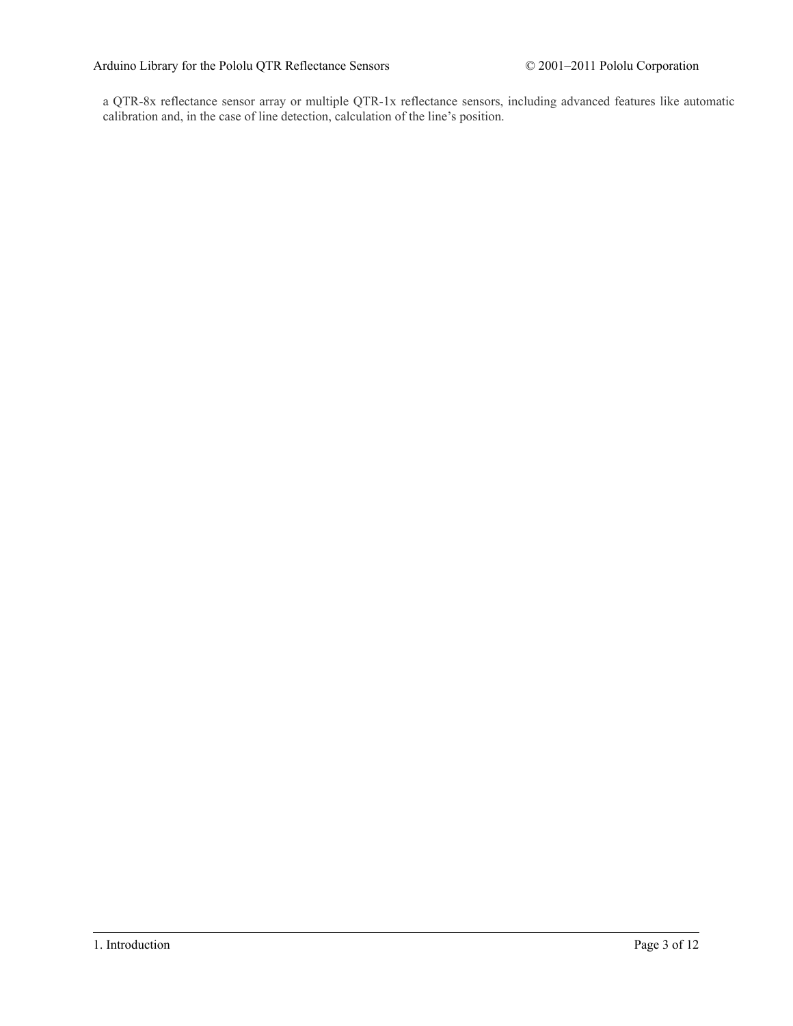a QTR-8x reflectance sensor array or multiple QTR-1x reflectance sensors, including advanced features like automatic calibration and, in the case of line detection, calculation of the line's position.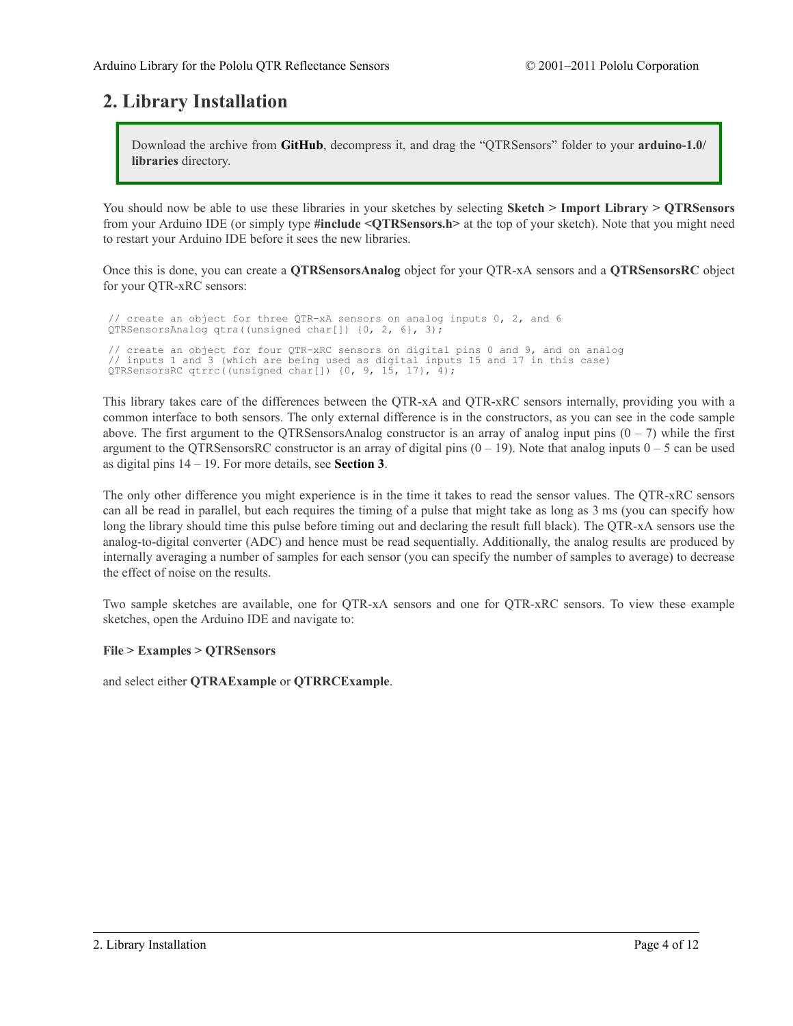# <span id="page-3-0"></span>**2. Library Installation**

Download the archive from **[GitHub](https://github.com/pololu/qtr-sensors-arduino)**, decompress it, and drag the "QTRSensors" folder to your **arduino-1.0/ libraries** directory.

You should now be able to use these libraries in your sketches by selecting **Sketch > Import Library > QTRSensors** from your Arduino IDE (or simply type **#include <QTRSensors.h>** at the top of your sketch). Note that you might need to restart your Arduino IDE before it sees the new libraries.

Once this is done, you can create a **QTRSensorsAnalog** object for your QTR-xA sensors and a **QTRSensorsRC** object for your QTR-xRC sensors:

```
// create an object for three QTR-xA sensors on analog inputs 0, 2, and 6
QTRSensorsAnalog qtra((unsigned char[]) {0, 2, 6}, 3);
// create an object for four QTR-xRC sensors on digital pins 0 and 9, and on analog
// inputs 1 and 3 (which are being used as digital inputs 15 and 17 in this case)
QTRSensorsRC qtrrc((unsigned char[]) {0, 9, 15, 17}, 4);
```
This library takes care of the differences between the QTR-xA and QTR-xRC sensors internally, providing you with a common interface to both sensors. The only external difference is in the constructors, as you can see in the code sample above. The first argument to the QTRSensorsAnalog constructor is an array of analog input pins  $(0 - 7)$  while the first argument to the QTRSensorsRC constructor is an array of digital pins  $(0 - 19)$ . Note that analog inputs  $0 - 5$  can be used as digital pins 14 – 19. For more details, see **[Section 3](#page-4-0)**.

The only other difference you might experience is in the time it takes to read the sensor values. The QTR-xRC sensors can all be read in parallel, but each requires the timing of a pulse that might take as long as 3 ms (you can specify how long the library should time this pulse before timing out and declaring the result full black). The QTR-xA sensors use the analog-to-digital converter (ADC) and hence must be read sequentially. Additionally, the analog results are produced by internally averaging a number of samples for each sensor (you can specify the number of samples to average) to decrease the effect of noise on the results.

Two sample sketches are available, one for QTR-xA sensors and one for QTR-xRC sensors. To view these example sketches, open the Arduino IDE and navigate to:

## **File > Examples > QTRSensors**

and select either **QTRAExample** or **QTRRCExample**.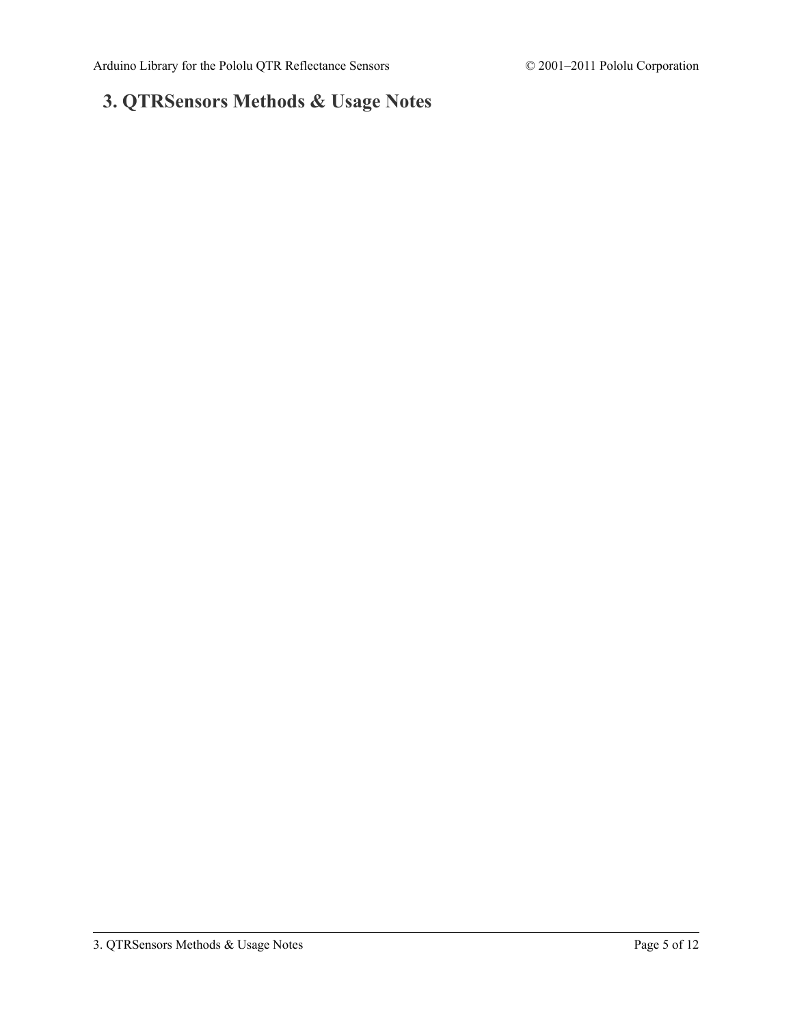# <span id="page-4-0"></span>**3. QTRSensors Methods & Usage Notes**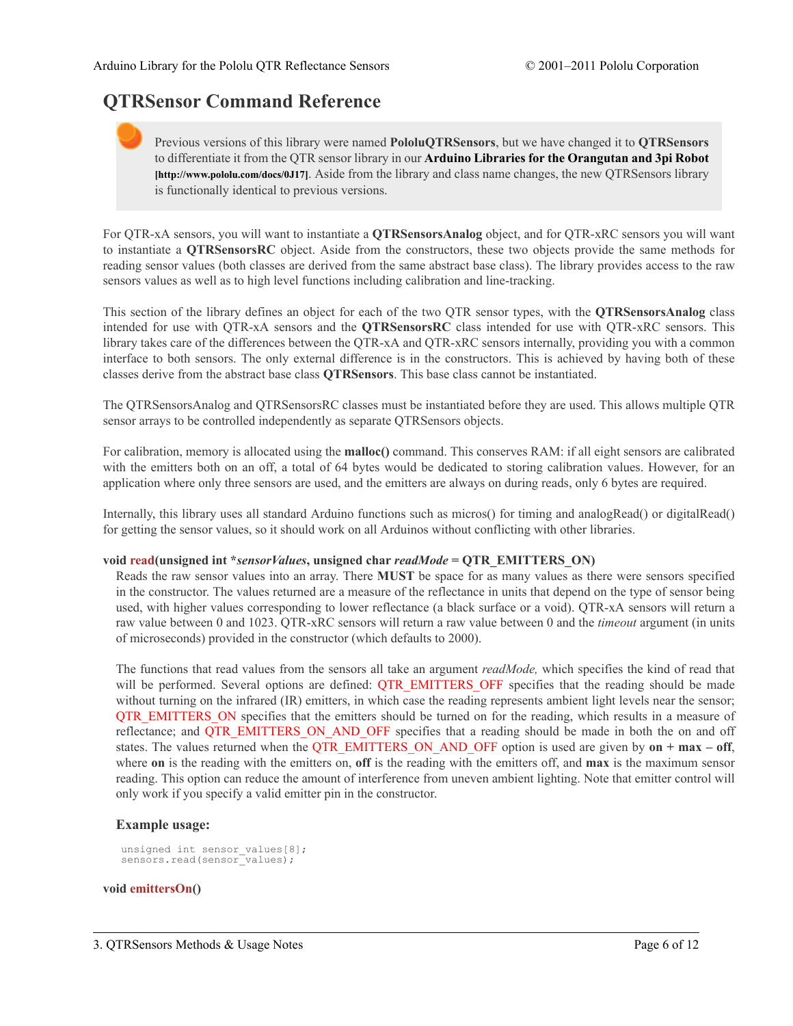# **QTRSensor Command Reference**

Previous versions of this library were named **PololuQTRSensors**, but we have changed it to **QTRSensors** to differentiate it from the QTR sensor library in our **Arduino Libraries for the [Orangutan](http://www.pololu.com/docs/0J17) and 3pi Robot [\[http://www.pololu.com/docs/0J17\]](http://www.pololu.com/docs/0J17)**. Aside from the library and class name changes, the new QTRSensors library is functionally identical to previous versions.

For QTR-xA sensors, you will want to instantiate a **QTRSensorsAnalog** object, and for QTR-xRC sensors you will want to instantiate a **QTRSensorsRC** object. Aside from the constructors, these two objects provide the same methods for reading sensor values (both classes are derived from the same abstract base class). The library provides access to the raw sensors values as well as to high level functions including calibration and line-tracking.

This section of the library defines an object for each of the two QTR sensor types, with the **QTRSensorsAnalog** class intended for use with QTR-xA sensors and the **QTRSensorsRC** class intended for use with QTR-xRC sensors. This library takes care of the differences between the QTR-xA and QTR-xRC sensors internally, providing you with a common interface to both sensors. The only external difference is in the constructors. This is achieved by having both of these classes derive from the abstract base class **QTRSensors**. This base class cannot be instantiated.

The QTRSensorsAnalog and QTRSensorsRC classes must be instantiated before they are used. This allows multiple QTR sensor arrays to be controlled independently as separate QTRSensors objects.

For calibration, memory is allocated using the **malloc()** command. This conserves RAM: if all eight sensors are calibrated with the emitters both on an off, a total of 64 bytes would be dedicated to storing calibration values. However, for an application where only three sensors are used, and the emitters are always on during reads, only 6 bytes are required.

Internally, this library uses all standard Arduino functions such as micros() for timing and analogRead() or digitalRead() for getting the sensor values, so it should work on all Arduinos without conflicting with other libraries.

#### **void read(unsigned int \****sensorValues***, unsigned char** *readMode* **= QTR\_EMITTERS\_ON)**

Reads the raw sensor values into an array. There **MUST** be space for as many values as there were sensors specified in the constructor. The values returned are a measure of the reflectance in units that depend on the type of sensor being used, with higher values corresponding to lower reflectance (a black surface or a void). QTR-xA sensors will return a raw value between 0 and 1023. QTR-xRC sensors will return a raw value between 0 and the *timeout* argument (in units of microseconds) provided in the constructor (which defaults to 2000).

The functions that read values from the sensors all take an argument *readMode,* which specifies the kind of read that will be performed. Several options are defined: QTR\_EMITTERS\_OFF specifies that the reading should be made without turning on the infrared (IR) emitters, in which case the reading represents ambient light levels near the sensor; QTR\_EMITTERS\_ON specifies that the emitters should be turned on for the reading, which results in a measure of reflectance; and QTR\_EMITTERS\_ON\_AND\_OFF specifies that a reading should be made in both the on and off states. The values returned when the QTR\_EMITTERS\_ON\_AND\_OFF option is used are given by **on + max – off**, where **on** is the reading with the emitters on, **off** is the reading with the emitters off, and **max** is the maximum sensor reading. This option can reduce the amount of interference from uneven ambient lighting. Note that emitter control will only work if you specify a valid emitter pin in the constructor.

#### **Example usage:**

```
unsigned int sensor values[8];
sensors.read(sensor_values);
```
#### **void emittersOn()**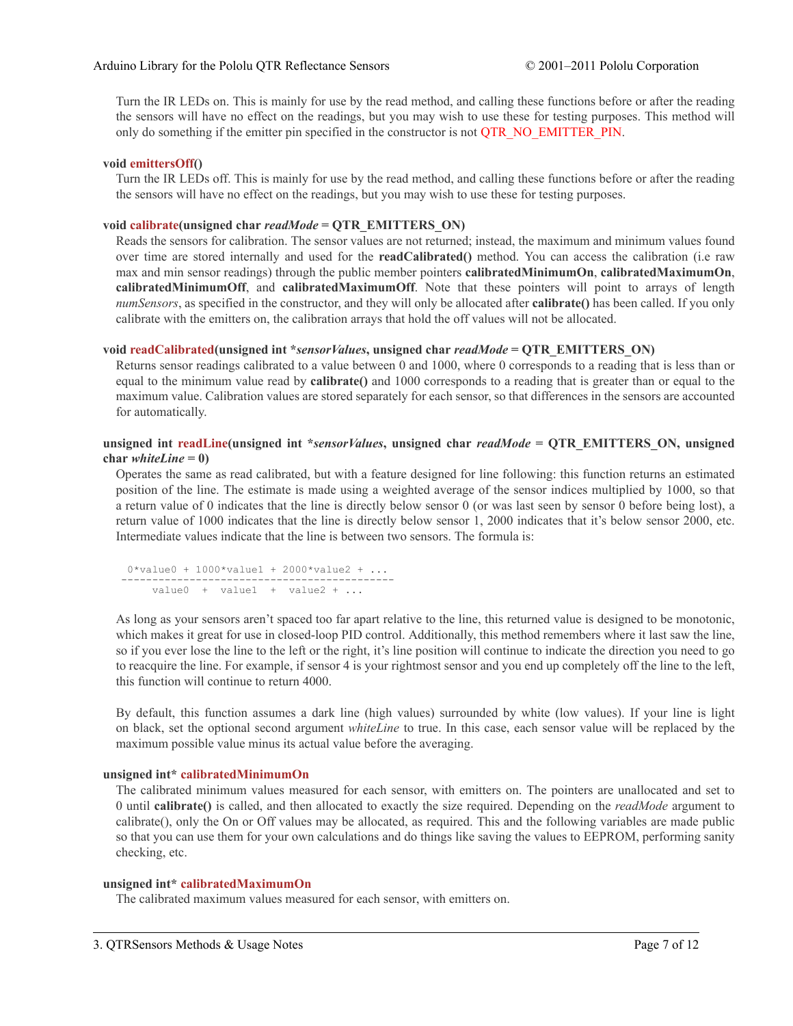Turn the IR LEDs on. This is mainly for use by the read method, and calling these functions before or after the reading the sensors will have no effect on the readings, but you may wish to use these for testing purposes. This method will only do something if the emitter pin specified in the constructor is not QTR\_NO\_EMITTER\_PIN.

## **void emittersOff()**

Turn the IR LEDs off. This is mainly for use by the read method, and calling these functions before or after the reading the sensors will have no effect on the readings, but you may wish to use these for testing purposes.

# **void calibrate(unsigned char** *readMode* **= QTR\_EMITTERS\_ON)**

Reads the sensors for calibration. The sensor values are not returned; instead, the maximum and minimum values found over time are stored internally and used for the **readCalibrated()** method. You can access the calibration (i.e raw max and min sensor readings) through the public member pointers **calibratedMinimumOn**, **calibratedMaximumOn**, **calibratedMinimumOff**, and **calibratedMaximumOff**. Note that these pointers will point to arrays of length *numSensors*, as specified in the constructor, and they will only be allocated after **calibrate()** has been called. If you only calibrate with the emitters on, the calibration arrays that hold the off values will not be allocated.

# **void readCalibrated(unsigned int \****sensorValues***, unsigned char** *readMode* **= QTR\_EMITTERS\_ON)**

Returns sensor readings calibrated to a value between 0 and 1000, where 0 corresponds to a reading that is less than or equal to the minimum value read by **calibrate()** and 1000 corresponds to a reading that is greater than or equal to the maximum value. Calibration values are stored separately for each sensor, so that differences in the sensors are accounted for automatically.

## **unsigned int readLine(unsigned int \****sensorValues***, unsigned char** *readMode* **= QTR\_EMITTERS\_ON, unsigned**  $char whiteLine = 0$

Operates the same as read calibrated, but with a feature designed for line following: this function returns an estimated position of the line. The estimate is made using a weighted average of the sensor indices multiplied by 1000, so that a return value of 0 indicates that the line is directly below sensor 0 (or was last seen by sensor 0 before being lost), a return value of 1000 indicates that the line is directly below sensor 1, 2000 indicates that it's below sensor 2000, etc. Intermediate values indicate that the line is between two sensors. The formula is:

0\*value0 + 1000\*value1 + 2000\*value2 + ... ------------------------------------------- value0 + value1 + value2 + ...

As long as your sensors aren't spaced too far apart relative to the line, this returned value is designed to be monotonic, which makes it great for use in closed-loop PID control. Additionally, this method remembers where it last saw the line, so if you ever lose the line to the left or the right, it's line position will continue to indicate the direction you need to go to reacquire the line. For example, if sensor 4 is your rightmost sensor and you end up completely off the line to the left, this function will continue to return 4000.

By default, this function assumes a dark line (high values) surrounded by white (low values). If your line is light on black, set the optional second argument *whiteLine* to true. In this case, each sensor value will be replaced by the maximum possible value minus its actual value before the averaging.

## **unsigned int\* calibratedMinimumOn**

The calibrated minimum values measured for each sensor, with emitters on. The pointers are unallocated and set to 0 until **calibrate()** is called, and then allocated to exactly the size required. Depending on the *readMode* argument to calibrate(), only the On or Off values may be allocated, as required. This and the following variables are made public so that you can use them for your own calculations and do things like saving the values to EEPROM, performing sanity checking, etc.

## **unsigned int\* calibratedMaximumOn**

The calibrated maximum values measured for each sensor, with emitters on.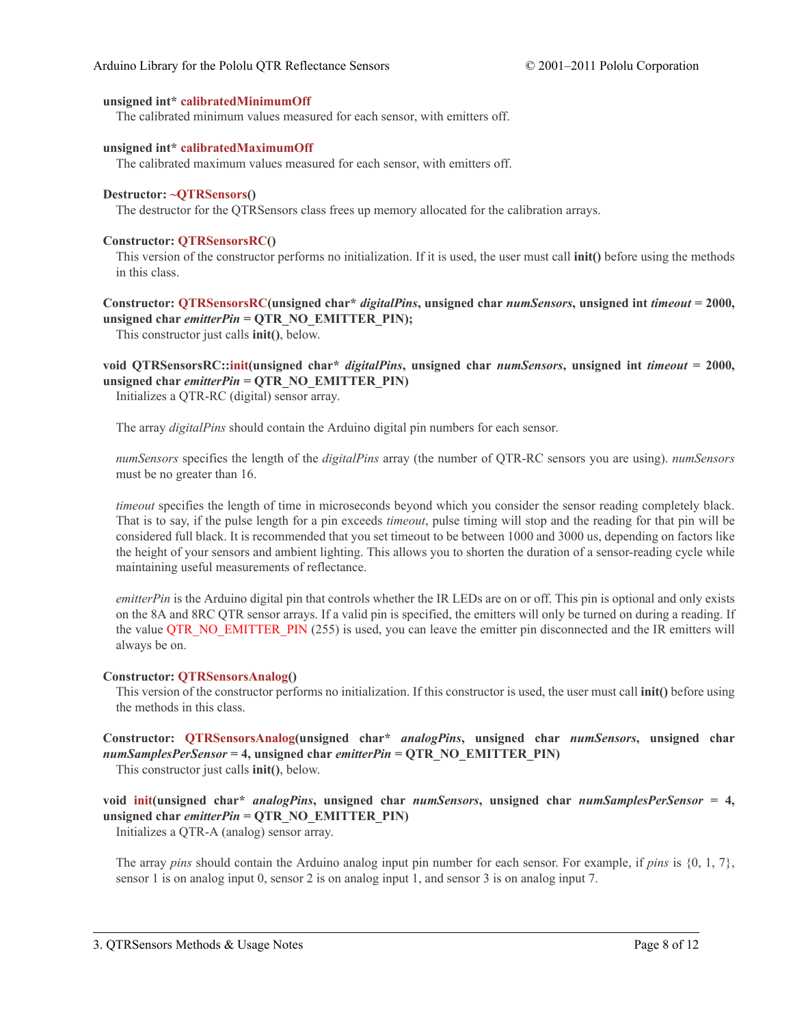#### **unsigned int\* calibratedMinimumOff**

The calibrated minimum values measured for each sensor, with emitters off.

#### **unsigned int\* calibratedMaximumOff**

The calibrated maximum values measured for each sensor, with emitters off.

#### **Destructor: ~QTRSensors()**

The destructor for the QTRSensors class frees up memory allocated for the calibration arrays.

#### **Constructor: QTRSensorsRC()**

This version of the constructor performs no initialization. If it is used, the user must call **init()** before using the methods in this class.

**Constructor: QTRSensorsRC(unsigned char\*** *digitalPins***, unsigned char** *numSensors***, unsigned int** *timeout* **= 2000, unsigned char** *emitterPin* **= QTR\_NO\_EMITTER\_PIN);**

This constructor just calls **init()**, below.

**void QTRSensorsRC::init(unsigned char\*** *digitalPins***, unsigned char** *numSensors***, unsigned int** *timeout* **= 2000, unsigned char** *emitterPin* **= QTR\_NO\_EMITTER\_PIN)**

Initializes a QTR-RC (digital) sensor array.

The array *digitalPins* should contain the Arduino digital pin numbers for each sensor.

*numSensors* specifies the length of the *digitalPins* array (the number of QTR-RC sensors you are using). *numSensors* must be no greater than 16.

*timeout* specifies the length of time in microseconds beyond which you consider the sensor reading completely black. That is to say, if the pulse length for a pin exceeds *timeout*, pulse timing will stop and the reading for that pin will be considered full black. It is recommended that you set timeout to be between 1000 and 3000 us, depending on factors like the height of your sensors and ambient lighting. This allows you to shorten the duration of a sensor-reading cycle while maintaining useful measurements of reflectance.

*emitterPin* is the Arduino digital pin that controls whether the IR LEDs are on or off. This pin is optional and only exists on the 8A and 8RC QTR sensor arrays. If a valid pin is specified, the emitters will only be turned on during a reading. If the value OTR\_NO\_EMITTER\_PIN (255) is used, you can leave the emitter pin disconnected and the IR emitters will always be on.

#### **Constructor: QTRSensorsAnalog()**

This version of the constructor performs no initialization. If this constructor is used, the user must call **init()** before using the methods in this class.

**Constructor: QTRSensorsAnalog(unsigned char\*** *analogPins***, unsigned char** *numSensors***, unsigned char** *numSamplesPerSensor* **= 4, unsigned char** *emitterPin* **= QTR\_NO\_EMITTER\_PIN)** This constructor just calls **init()**, below.

**void init(unsigned char\*** *analogPins***, unsigned char** *numSensors***, unsigned char** *numSamplesPerSensor* **= 4, unsigned char** *emitterPin* **= QTR\_NO\_EMITTER\_PIN)**

Initializes a QTR-A (analog) sensor array.

The array *pins* should contain the Arduino analog input pin number for each sensor. For example, if *pins* is {0, 1, 7}, sensor 1 is on analog input 0, sensor 2 is on analog input 1, and sensor 3 is on analog input 7.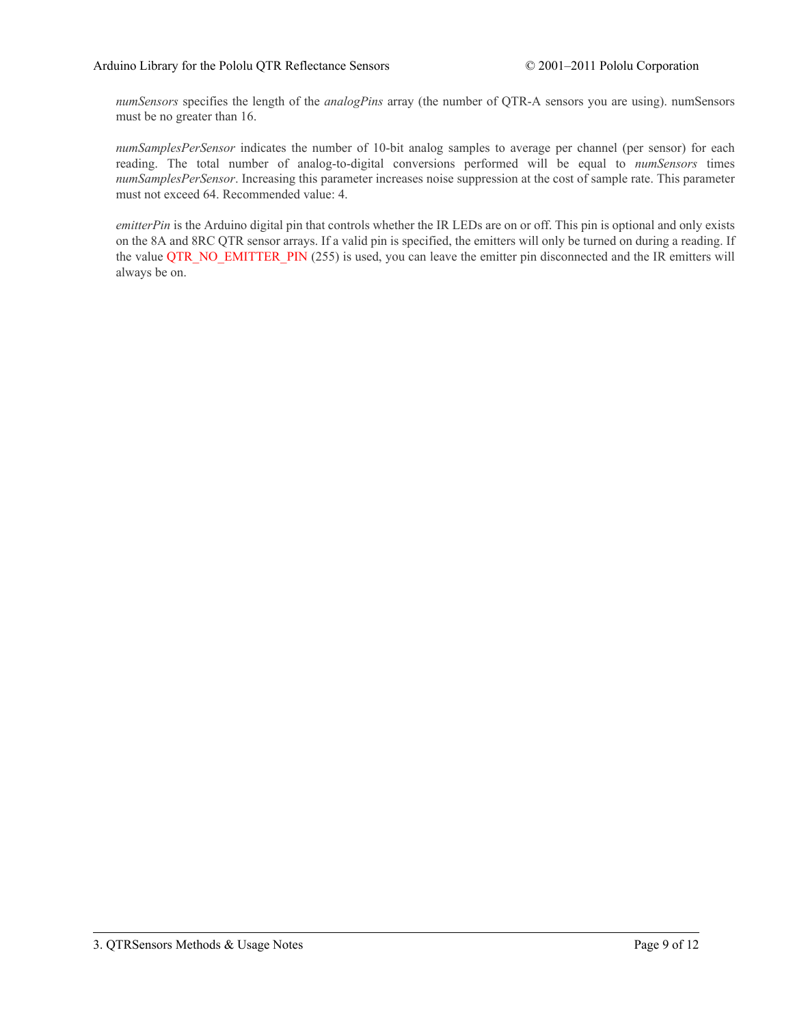*numSensors* specifies the length of the *analogPins* array (the number of QTR-A sensors you are using). numSensors must be no greater than 16.

*numSamplesPerSensor* indicates the number of 10-bit analog samples to average per channel (per sensor) for each reading. The total number of analog-to-digital conversions performed will be equal to *numSensors* times *numSamplesPerSensor*. Increasing this parameter increases noise suppression at the cost of sample rate. This parameter must not exceed 64. Recommended value: 4.

*emitterPin* is the Arduino digital pin that controls whether the IR LEDs are on or off. This pin is optional and only exists on the 8A and 8RC QTR sensor arrays. If a valid pin is specified, the emitters will only be turned on during a reading. If the value QTR\_NO\_EMITTER\_PIN (255) is used, you can leave the emitter pin disconnected and the IR emitters will always be on.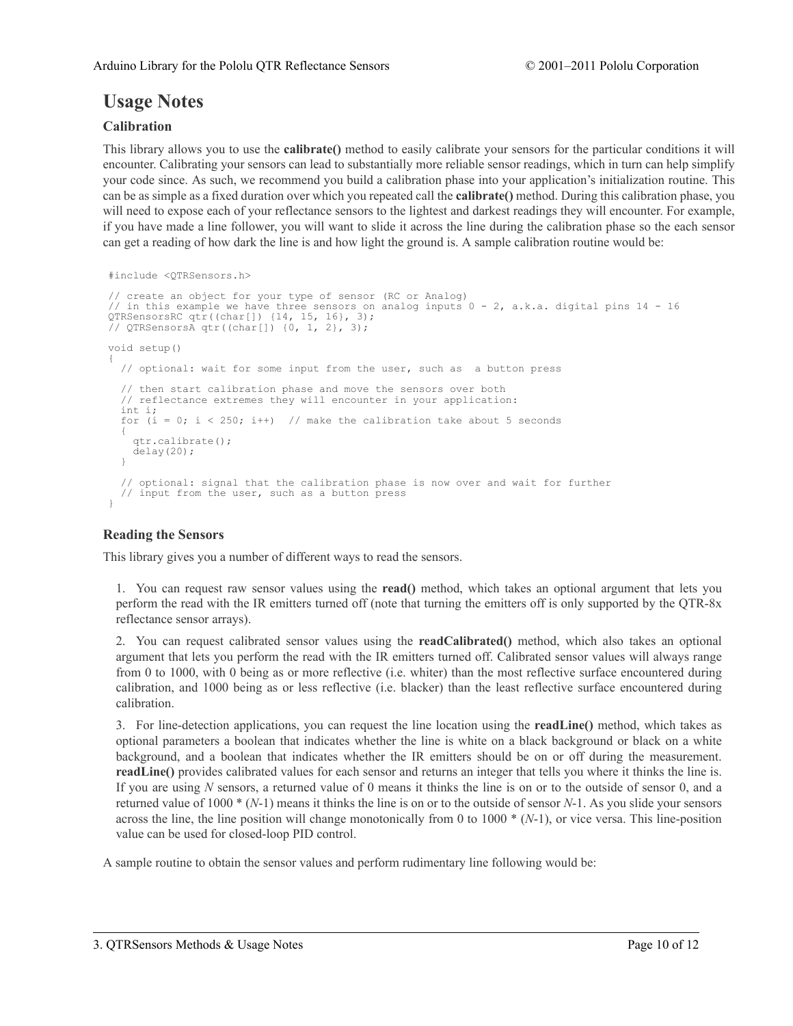# **Usage Notes**

# **Calibration**

This library allows you to use the **calibrate()** method to easily calibrate your sensors for the particular conditions it will encounter. Calibrating your sensors can lead to substantially more reliable sensor readings, which in turn can help simplify your code since. As such, we recommend you build a calibration phase into your application's initialization routine. This can be as simple as a fixed duration over which you repeated call the **calibrate()** method. During this calibration phase, you will need to expose each of your reflectance sensors to the lightest and darkest readings they will encounter. For example, if you have made a line follower, you will want to slide it across the line during the calibration phase so the each sensor can get a reading of how dark the line is and how light the ground is. A sample calibration routine would be:

```
#include <QTRSensors.h>
```

```
// create an object for your type of sensor (RC or Analog)
// in this example we have three sensors on analog inputs 0 - 2, a.k.a. digital pins 14 - 16
QTRSensorsRC qtr((char[]) {14, 15, 16}, 3);
// QTRSensorsA qtr((char[]) {0, 1, 2}, 3);
void setup()
{
 // optional: wait for some input from the user, such as a button press
 // then start calibration phase and move the sensors over both
  // reflectance extremes they will encounter in your application:
 int i;
 for (i = 0; i < 250; i++) // make the calibration take about 5 seconds
  \mathbf{f}qtr.calibrate();
   delay(20);
  }
  // optional: signal that the calibration phase is now over and wait for further
  // input from the user, such as a button press
}
```
# **Reading the Sensors**

This library gives you a number of different ways to read the sensors.

1. You can request raw sensor values using the **read()** method, which takes an optional argument that lets you perform the read with the IR emitters turned off (note that turning the emitters off is only supported by the QTR-8x reflectance sensor arrays).

2. You can request calibrated sensor values using the **readCalibrated()** method, which also takes an optional argument that lets you perform the read with the IR emitters turned off. Calibrated sensor values will always range from 0 to 1000, with 0 being as or more reflective (i.e. whiter) than the most reflective surface encountered during calibration, and 1000 being as or less reflective (i.e. blacker) than the least reflective surface encountered during calibration.

3. For line-detection applications, you can request the line location using the **readLine()** method, which takes as optional parameters a boolean that indicates whether the line is white on a black background or black on a white background, and a boolean that indicates whether the IR emitters should be on or off during the measurement. **readLine()** provides calibrated values for each sensor and returns an integer that tells you where it thinks the line is. If you are using *N* sensors, a returned value of 0 means it thinks the line is on or to the outside of sensor 0, and a returned value of 1000 \* (*N*-1) means it thinks the line is on or to the outside of sensor *N*-1. As you slide your sensors across the line, the line position will change monotonically from 0 to 1000 \* (*N*-1), or vice versa. This line-position value can be used for closed-loop PID control.

A sample routine to obtain the sensor values and perform rudimentary line following would be: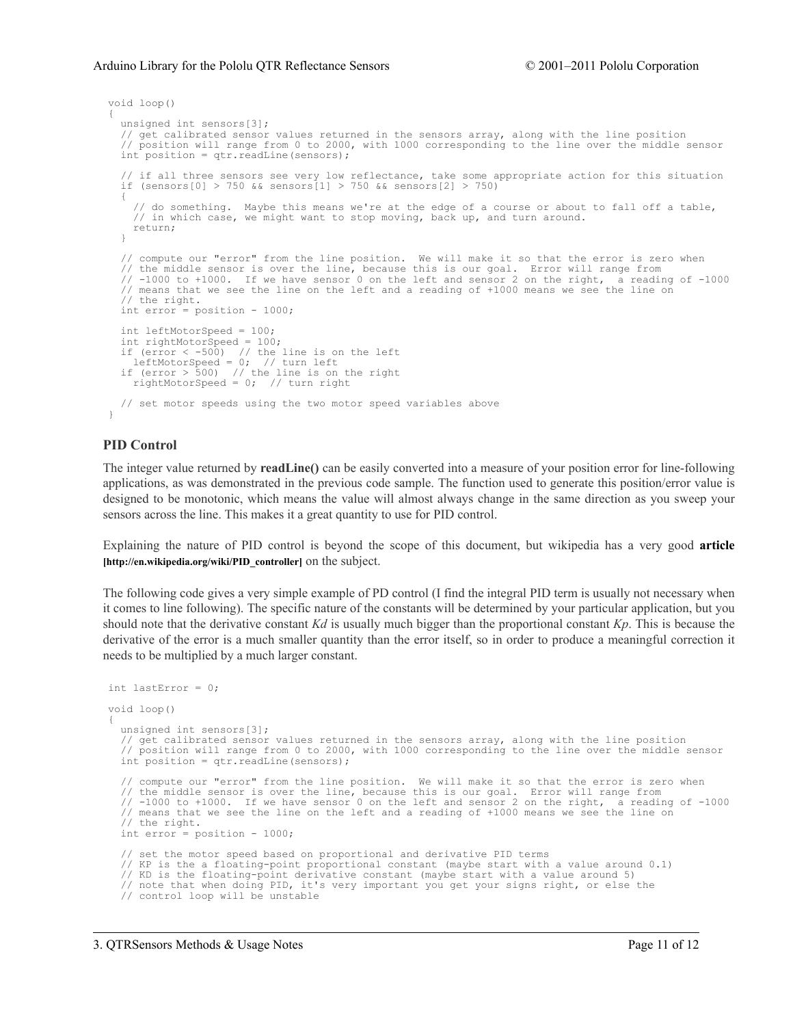#### Arduino Library for the Pololu QTR Reflectance Sensors © 2001–2011 Pololu Corporation

```
void loop()
{
 unsigned int sensors[3];
  // get calibrated sensor values returned in the sensors array, along with the line position
  // position will range from 0 to 2000, with 1000 corresponding to the line over the middle sensor
 int position = qtr.readLine(sensors);
  // if all three sensors see very low reflectance, take some appropriate action for this situation
 if (sensors[0] > 750 && sensors[1] > 750 && sensors[2] > 750)
  {
   // do something. Maybe this means we're at the edge of a course or about to fall off a table,
   // in which case, we might want to stop moving, back up, and turn around.
   return;
  }
  // compute our "error" from the line position. We will make it so that the error is zero when
  // the middle sensor is over the line, because this is our goal. Error will range from
  // -1000 to +1000. If we have sensor 0 on the left and sensor 2 on the right, a reading of -1000
  // means that we see the line on the left and a reading of +1000 means we see the line on
  // the right.
 int error = position - 1000;
 int leftMotorSpeed = 100;
  int rightMotorSpeed = 100;
  if (error < -500) // the line is on the left
    leftMotorSpeed = 0; // turn left
  if (error > 500) // the line is on the right
   rightMotorSpeed = 0; // turn right
 // set motor speeds using the two motor speed variables above
}
```
## **PID Control**

The integer value returned by **readLine()** can be easily converted into a measure of your position error for line-following applications, as was demonstrated in the previous code sample. The function used to generate this position/error value is designed to be monotonic, which means the value will almost always change in the same direction as you sweep your sensors across the line. This makes it a great quantity to use for PID control.

Explaining the nature of PID control is beyond the scope of this document, but wikipedia has a very good **[article](http://en.wikipedia.org/wiki/PID_controller) [\[http://en.wikipedia.org/wiki/PID\\_controller\]](http://en.wikipedia.org/wiki/PID_controller)** on the subject.

The following code gives a very simple example of PD control (I find the integral PID term is usually not necessary when it comes to line following). The specific nature of the constants will be determined by your particular application, but you should note that the derivative constant *Kd* is usually much bigger than the proportional constant *Kp*. This is because the derivative of the error is a much smaller quantity than the error itself, so in order to produce a meaningful correction it needs to be multiplied by a much larger constant.

```
int lastError = 0;
void loop()
{
 unsigned int sensors[3];
  // get calibrated sensor values returned in the sensors array, along with the line position
  // position will range from 0 to 2000, with 1000 corresponding to the line over the middle sensor
 int position = qtr.readLine(sensors);
    compute our "error" from the line position. We will make it so that the error is zero when
  // the middle sensor is over the line, because this is our goal. Error will range from
  // -1000 to +1000. If we have sensor 0 on the left and sensor 2 on the right, a reading of -1000
  // means that we see the line on the left and a reading of +1000 means we see the line on
  // the right.
  int error = position - 1000;
  // set the motor speed based on proportional and derivative PID terms
  // KP is the a floating-point proportional constant (maybe start with a value around 0.1)
  // KD is the floating-point derivative constant (maybe start with a value around 5)
  // note that when doing PID, it's very important you get your signs right, or else the
  // control loop will be unstable
```